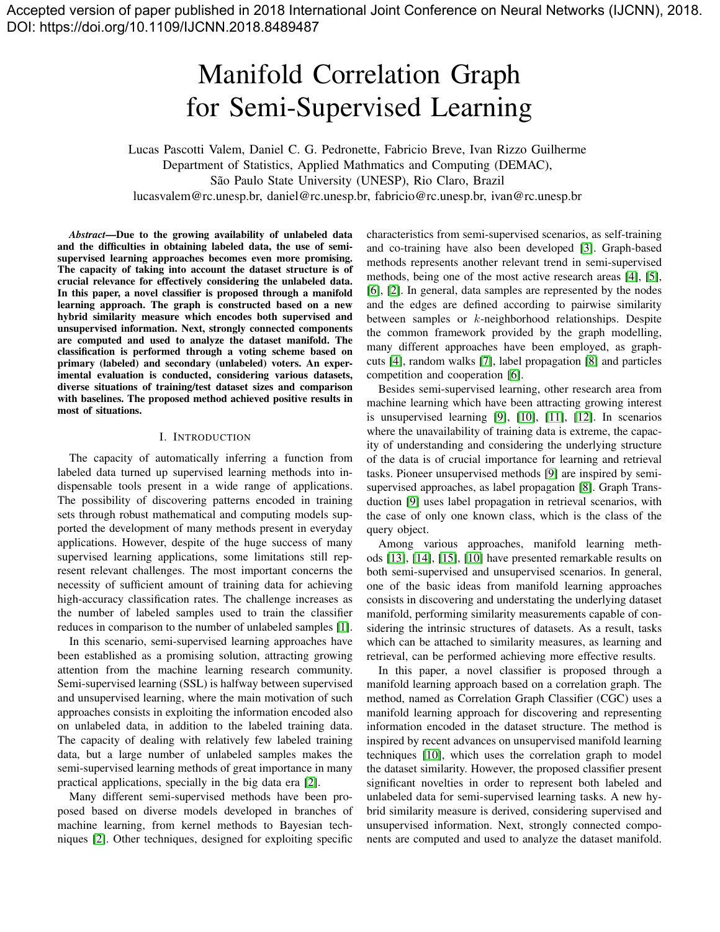# Manifold Correlation Graph for Semi-Supervised Learning

Lucas Pascotti Valem, Daniel C. G. Pedronette, Fabricio Breve, Ivan Rizzo Guilherme Department of Statistics, Applied Mathmatics and Computing (DEMAC), São Paulo State University (UNESP), Rio Claro, Brazil lucasvalem@rc.unesp.br, daniel@rc.unesp.br, fabricio@rc.unesp.br, ivan@rc.unesp.br

*Abstract*—Due to the growing availability of unlabeled data and the difficulties in obtaining labeled data, the use of semisupervised learning approaches becomes even more promising. The capacity of taking into account the dataset structure is of crucial relevance for effectively considering the unlabeled data. In this paper, a novel classifier is proposed through a manifold learning approach. The graph is constructed based on a new hybrid similarity measure which encodes both supervised and unsupervised information. Next, strongly connected components are computed and used to analyze the dataset manifold. The classification is performed through a voting scheme based on primary (labeled) and secondary (unlabeled) voters. An experimental evaluation is conducted, considering various datasets, diverse situations of training/test dataset sizes and comparison with baselines. The proposed method achieved positive results in most of situations.

#### I. INTRODUCTION

The capacity of automatically inferring a function from labeled data turned up supervised learning methods into indispensable tools present in a wide range of applications. The possibility of discovering patterns encoded in training sets through robust mathematical and computing models supported the development of many methods present in everyday applications. However, despite of the huge success of many supervised learning applications, some limitations still represent relevant challenges. The most important concerns the necessity of sufficient amount of training data for achieving high-accuracy classification rates. The challenge increases as the number of labeled samples used to train the classifier reduces in comparison to the number of unlabeled samples [\[1\]](#page-6-0).

In this scenario, semi-supervised learning approaches have been established as a promising solution, attracting growing attention from the machine learning research community. Semi-supervised learning (SSL) is halfway between supervised and unsupervised learning, where the main motivation of such approaches consists in exploiting the information encoded also on unlabeled data, in addition to the labeled training data. The capacity of dealing with relatively few labeled training data, but a large number of unlabeled samples makes the semi-supervised learning methods of great importance in many practical applications, specially in the big data era [\[2\]](#page-6-1).

Many different semi-supervised methods have been proposed based on diverse models developed in branches of machine learning, from kernel methods to Bayesian techniques [\[2\]](#page-6-1). Other techniques, designed for exploiting specific characteristics from semi-supervised scenarios, as self-training and co-training have also been developed [\[3\]](#page-6-2). Graph-based methods represents another relevant trend in semi-supervised methods, being one of the most active research areas [\[4\]](#page-6-3), [\[5\]](#page-6-4), [\[6\]](#page-6-5), [\[2\]](#page-6-1). In general, data samples are represented by the nodes and the edges are defined according to pairwise similarity between samples or k-neighborhood relationships. Despite the common framework provided by the graph modelling, many different approaches have been employed, as graphcuts [\[4\]](#page-6-3), random walks [\[7\]](#page-6-6), label propagation [\[8\]](#page-6-7) and particles competition and cooperation [\[6\]](#page-6-5).

Besides semi-supervised learning, other research area from machine learning which have been attracting growing interest is unsupervised learning [\[9\]](#page-6-8), [\[10\]](#page-6-9), [\[11\]](#page-6-10), [\[12\]](#page-6-11). In scenarios where the unavailability of training data is extreme, the capacity of understanding and considering the underlying structure of the data is of crucial importance for learning and retrieval tasks. Pioneer unsupervised methods [\[9\]](#page-6-8) are inspired by semisupervised approaches, as label propagation [\[8\]](#page-6-7). Graph Transduction [\[9\]](#page-6-8) uses label propagation in retrieval scenarios, with the case of only one known class, which is the class of the query object.

Among various approaches, manifold learning methods [\[13\]](#page-6-12), [\[14\]](#page-6-13), [\[15\]](#page-6-14), [\[10\]](#page-6-9) have presented remarkable results on both semi-supervised and unsupervised scenarios. In general, one of the basic ideas from manifold learning approaches consists in discovering and understating the underlying dataset manifold, performing similarity measurements capable of considering the intrinsic structures of datasets. As a result, tasks which can be attached to similarity measures, as learning and retrieval, can be performed achieving more effective results.

In this paper, a novel classifier is proposed through a manifold learning approach based on a correlation graph. The method, named as Correlation Graph Classifier (CGC) uses a manifold learning approach for discovering and representing information encoded in the dataset structure. The method is inspired by recent advances on unsupervised manifold learning techniques [\[10\]](#page-6-9), which uses the correlation graph to model the dataset similarity. However, the proposed classifier present significant novelties in order to represent both labeled and unlabeled data for semi-supervised learning tasks. A new hybrid similarity measure is derived, considering supervised and unsupervised information. Next, strongly connected components are computed and used to analyze the dataset manifold.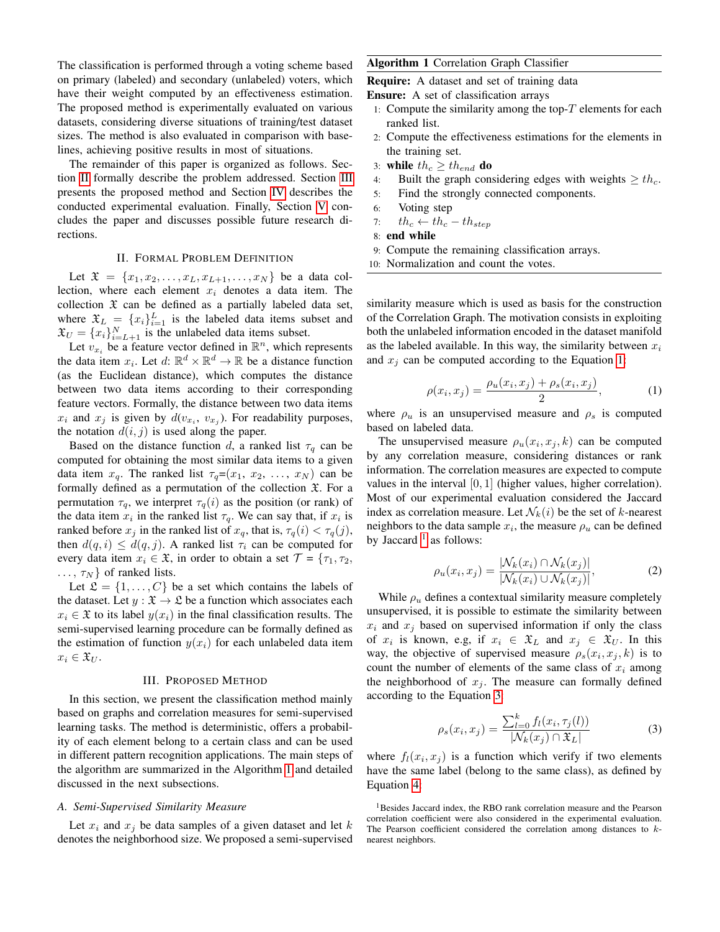The classification is performed through a voting scheme based on primary (labeled) and secondary (unlabeled) voters, which have their weight computed by an effectiveness estimation. The proposed method is experimentally evaluated on various datasets, considering diverse situations of training/test dataset sizes. The method is also evaluated in comparison with baselines, achieving positive results in most of situations.

The remainder of this paper is organized as follows. Section [II](#page-1-0) formally describe the problem addressed. Section [III](#page-1-1) presents the proposed method and Section [IV](#page-3-0) describes the conducted experimental evaluation. Finally, Section [V](#page-5-0) concludes the paper and discusses possible future research directions.

# II. FORMAL PROBLEM DEFINITION

<span id="page-1-0"></span>Let  $\mathfrak{X} = \{x_1, x_2, \dots, x_L, x_{L+1}, \dots, x_N\}$  be a data collection, where each element  $x_i$  denotes a data item. The collection  $\mathfrak X$  can be defined as a partially labeled data set, where  $\mathfrak{X}_L = \{x_i\}_{i=1}^L$  is the labeled data items subset and  $\mathfrak{X}_U = \{x_i\}_{i=L+1}^N$  is the unlabeled data items subset.

Let  $v_{x_i}$  be a feature vector defined in  $\mathbb{R}^n$ , which represents the data item  $x_i$ . Let  $d: \mathbb{R}^d \times \mathbb{R}^d \to \mathbb{R}$  be a distance function (as the Euclidean distance), which computes the distance between two data items according to their corresponding feature vectors. Formally, the distance between two data items  $x_i$  and  $x_j$  is given by  $d(v_{x_i}, v_{x_j})$ . For readability purposes, the notation  $d(i, j)$  is used along the paper.

Based on the distance function d, a ranked list  $\tau_q$  can be computed for obtaining the most similar data items to a given data item  $x_q$ . The ranked list  $\tau_q = (x_1, x_2, \ldots, x_N)$  can be formally defined as a permutation of the collection  $\mathfrak{X}$ . For a permutation  $\tau_q$ , we interpret  $\tau_q(i)$  as the position (or rank) of the data item  $x_i$  in the ranked list  $\tau_q$ . We can say that, if  $x_i$  is ranked before  $x_j$  in the ranked list of  $x_q$ , that is,  $\tau_q(i) < \tau_q(j)$ , then  $d(q, i) \leq d(q, j)$ . A ranked list  $\tau_i$  can be computed for every data item  $x_i \in \mathfrak{X}$ , in order to obtain a set  $\mathcal{T} = \{\tau_1, \tau_2,$  $..., \tau_N$ } of ranked lists.

Let  $\mathfrak{L} = \{1, \ldots, C\}$  be a set which contains the labels of the dataset. Let  $y : \mathfrak{X} \to \mathfrak{L}$  be a function which associates each  $x_i \in \mathfrak{X}$  to its label  $y(x_i)$  in the final classification results. The semi-supervised learning procedure can be formally defined as the estimation of function  $y(x_i)$  for each unlabeled data item  $x_i \in \mathfrak{X}_U$ .

## III. PROPOSED METHOD

<span id="page-1-1"></span>In this section, we present the classification method mainly based on graphs and correlation measures for semi-supervised learning tasks. The method is deterministic, offers a probability of each element belong to a certain class and can be used in different pattern recognition applications. The main steps of the algorithm are summarized in the Algorithm [1](#page-1-2) and detailed discussed in the next subsections.

## <span id="page-1-6"></span>*A. Semi-Supervised Similarity Measure*

Let  $x_i$  and  $x_j$  be data samples of a given dataset and let k denotes the neighborhood size. We proposed a semi-supervised

# <span id="page-1-2"></span>Algorithm 1 Correlation Graph Classifier

Require: A dataset and set of training data

Ensure: A set of classification arrays

- 1: Compute the similarity among the top- $T$  elements for each ranked list.
- 2: Compute the effectiveness estimations for the elements in the training set.
- 3: while  $th_c \geq th_{end}$  do
- 4: Built the graph considering edges with weights  $\geq th_c$ .
- 5: Find the strongly connected components.
- 6: Voting step
- 7:  $th_c \leftarrow th_c th_{step}$
- 8: end while
- 9: Compute the remaining classification arrays.
- 10: Normalization and count the votes.

similarity measure which is used as basis for the construction of the Correlation Graph. The motivation consists in exploiting both the unlabeled information encoded in the dataset manifold as the labeled available. In this way, the similarity between  $x_i$ and  $x_i$  can be computed according to the Equation [1:](#page-1-3)

<span id="page-1-3"></span>
$$
\rho(x_i, x_j) = \frac{\rho_u(x_i, x_j) + \rho_s(x_i, x_j)}{2}, \tag{1}
$$

where  $\rho_u$  is an unsupervised measure and  $\rho_s$  is computed based on labeled data.

The unsupervised measure  $\rho_u(x_i, x_j, k)$  can be computed by any correlation measure, considering distances or rank information. The correlation measures are expected to compute values in the interval [0, 1] (higher values, higher correlation). Most of our experimental evaluation considered the Jaccard index as correlation measure. Let  $\mathcal{N}_k(i)$  be the set of k-nearest neighbors to the data sample  $x_i$ , the measure  $\rho_u$  can be defined by Jaccard  $<sup>1</sup>$  $<sup>1</sup>$  $<sup>1</sup>$  as follows:</sup>

$$
\rho_u(x_i, x_j) = \frac{|\mathcal{N}_k(x_i) \cap \mathcal{N}_k(x_j)|}{|\mathcal{N}_k(x_i) \cup \mathcal{N}_k(x_j)|},\tag{2}
$$

While  $\rho_u$  defines a contextual similarity measure completely unsupervised, it is possible to estimate the similarity between  $x_i$  and  $x_j$  based on supervised information if only the class of  $x_i$  is known, e.g, if  $x_i \in \mathfrak{X}_L$  and  $x_j \in \mathfrak{X}_U$ . In this way, the objective of supervised measure  $\rho_s(x_i, x_j, k)$  is to count the number of elements of the same class of  $x_i$  among the neighborhood of  $x_j$ . The measure can formally defined according to the Equation [3:](#page-1-5)

<span id="page-1-5"></span>
$$
\rho_s(x_i, x_j) = \frac{\sum_{l=0}^k f_l(x_i, \tau_j(l))}{|\mathcal{N}_k(x_j) \cap \mathfrak{X}_L|}
$$
(3)

where  $f_l(x_i, x_j)$  is a function which verify if two elements have the same label (belong to the same class), as defined by Equation [4:](#page-2-0)

<span id="page-1-4"></span><sup>&</sup>lt;sup>1</sup>Besides Jaccard index, the RBO rank correlation measure and the Pearson correlation coefficient were also considered in the experimental evaluation. The Pearson coefficient considered the correlation among distances to knearest neighbors.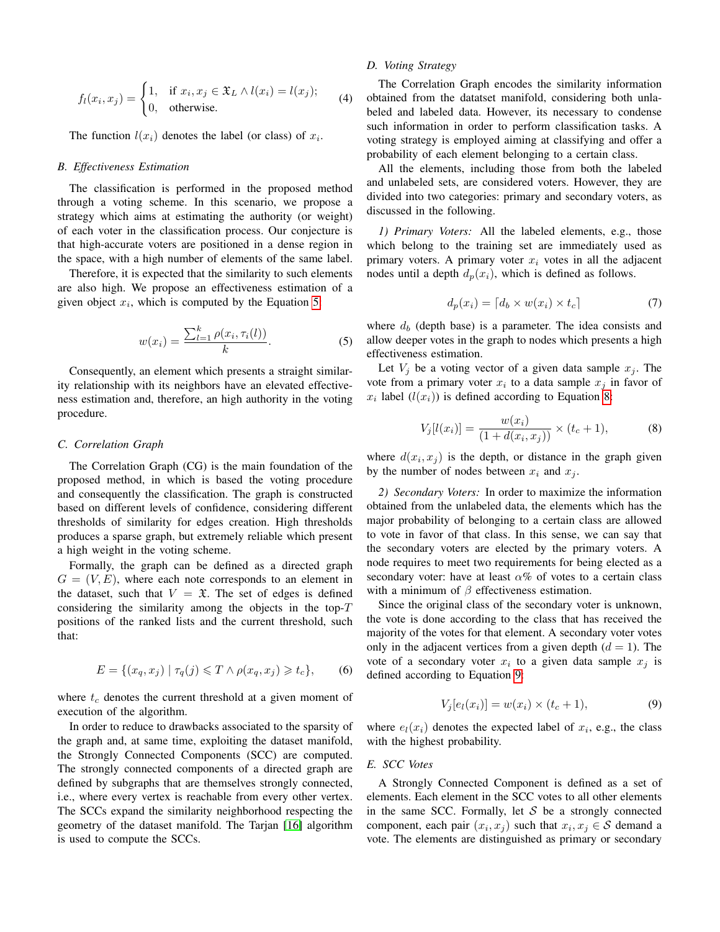<span id="page-2-0"></span>
$$
f_l(x_i, x_j) = \begin{cases} 1, & \text{if } x_i, x_j \in \mathfrak{X}_L \land l(x_i) = l(x_j); \\ 0, & \text{otherwise.} \end{cases}
$$
 (4)

The function  $l(x_i)$  denotes the label (or class) of  $x_i$ .

## <span id="page-2-4"></span>*B. Effectiveness Estimation*

The classification is performed in the proposed method through a voting scheme. In this scenario, we propose a strategy which aims at estimating the authority (or weight) of each voter in the classification process. Our conjecture is that high-accurate voters are positioned in a dense region in the space, with a high number of elements of the same label.

Therefore, it is expected that the similarity to such elements are also high. We propose an effectiveness estimation of a given object  $x_i$ , which is computed by the Equation [5:](#page-2-1)

<span id="page-2-1"></span>
$$
w(x_i) = \frac{\sum_{l=1}^{k} \rho(x_i, \tau_i(l))}{k}.
$$
 (5)

Consequently, an element which presents a straight similarity relationship with its neighbors have an elevated effectiveness estimation and, therefore, an high authority in the voting procedure.

## *C. Correlation Graph*

The Correlation Graph (CG) is the main foundation of the proposed method, in which is based the voting procedure and consequently the classification. The graph is constructed based on different levels of confidence, considering different thresholds of similarity for edges creation. High thresholds produces a sparse graph, but extremely reliable which present a high weight in the voting scheme.

Formally, the graph can be defined as a directed graph  $G = (V, E)$ , where each note corresponds to an element in the dataset, such that  $V = \mathfrak{X}$ . The set of edges is defined considering the similarity among the objects in the top- $T$ positions of the ranked lists and the current threshold, such that:

$$
E = \{(x_q, x_j) \mid \tau_q(j) \leq T \land \rho(x_q, x_j) \geq t_c\},\tag{6}
$$

where  $t_c$  denotes the current threshold at a given moment of execution of the algorithm.

In order to reduce to drawbacks associated to the sparsity of the graph and, at same time, exploiting the dataset manifold, the Strongly Connected Components (SCC) are computed. The strongly connected components of a directed graph are defined by subgraphs that are themselves strongly connected, i.e., where every vertex is reachable from every other vertex. The SCCs expand the similarity neighborhood respecting the geometry of the dataset manifold. The Tarjan [\[16\]](#page-6-15) algorithm is used to compute the SCCs.

# *D. Voting Strategy*

The Correlation Graph encodes the similarity information obtained from the datatset manifold, considering both unlabeled and labeled data. However, its necessary to condense such information in order to perform classification tasks. A voting strategy is employed aiming at classifying and offer a probability of each element belonging to a certain class.

All the elements, including those from both the labeled and unlabeled sets, are considered voters. However, they are divided into two categories: primary and secondary voters, as discussed in the following.

*1) Primary Voters:* All the labeled elements, e.g., those which belong to the training set are immediately used as primary voters. A primary voter  $x_i$  votes in all the adjacent nodes until a depth  $d_p(x_i)$ , which is defined as follows.

$$
d_p(x_i) = \lceil d_b \times w(x_i) \times t_c \rceil \tag{7}
$$

where  $d_b$  (depth base) is a parameter. The idea consists and allow deeper votes in the graph to nodes which presents a high effectiveness estimation.

Let  $V_i$  be a voting vector of a given data sample  $x_i$ . The vote from a primary voter  $x_i$  to a data sample  $x_j$  in favor of  $x_i$  label  $(l(x_i))$  is defined according to Equation [8:](#page-2-2)

<span id="page-2-2"></span>
$$
V_j[l(x_i)] = \frac{w(x_i)}{(1 + d(x_i, x_j))} \times (t_c + 1),
$$
 (8)

where  $d(x_i, x_j)$  is the depth, or distance in the graph given by the number of nodes between  $x_i$  and  $x_j$ .

*2) Secondary Voters:* In order to maximize the information obtained from the unlabeled data, the elements which has the major probability of belonging to a certain class are allowed to vote in favor of that class. In this sense, we can say that the secondary voters are elected by the primary voters. A node requires to meet two requirements for being elected as a secondary voter: have at least  $\alpha$ % of votes to a certain class with a minimum of  $\beta$  effectiveness estimation.

Since the original class of the secondary voter is unknown, the vote is done according to the class that has received the majority of the votes for that element. A secondary voter votes only in the adjacent vertices from a given depth  $(d = 1)$ . The vote of a secondary voter  $x_i$  to a given data sample  $x_j$  is defined according to Equation [9:](#page-2-3)

<span id="page-2-3"></span>
$$
V_j[e_l(x_i)] = w(x_i) \times (t_c + 1),
$$
\n(9)

where  $e_l(x_i)$  denotes the expected label of  $x_i$ , e.g., the class with the highest probability.

# *E. SCC Votes*

A Strongly Connected Component is defined as a set of elements. Each element in the SCC votes to all other elements in the same SCC. Formally, let  $S$  be a strongly connected component, each pair  $(x_i, x_j)$  such that  $x_i, x_j \in S$  demand a vote. The elements are distinguished as primary or secondary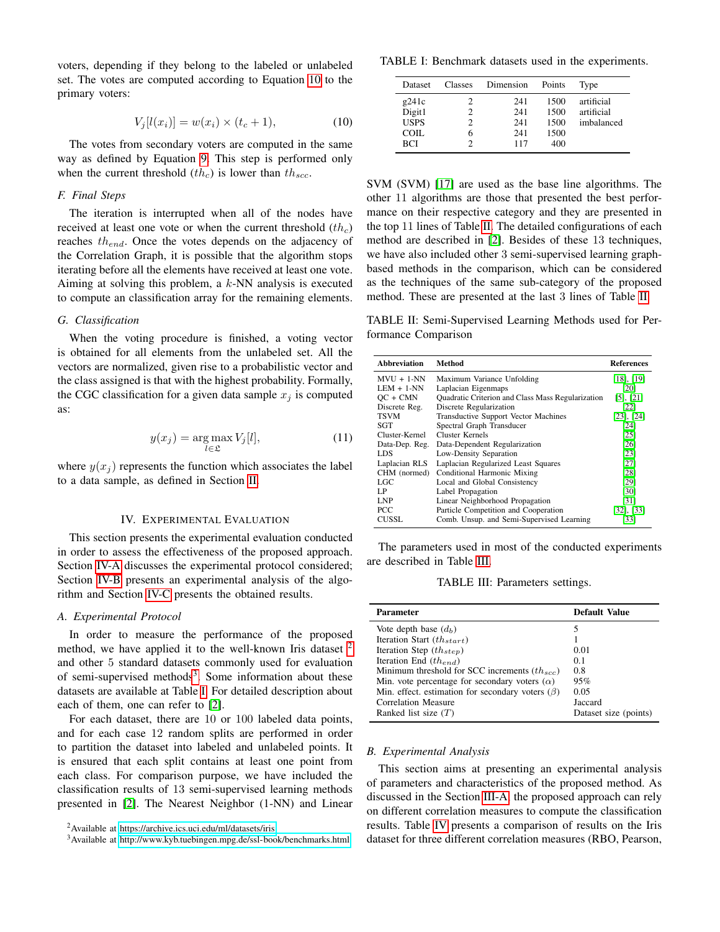voters, depending if they belong to the labeled or unlabeled set. The votes are computed according to Equation [10](#page-3-1) to the primary voters:

<span id="page-3-1"></span>
$$
V_j[l(x_i)] = w(x_i) \times (t_c + 1),
$$
\n(10)

The votes from secondary voters are computed in the same way as defined by Equation [9.](#page-2-3) This step is performed only when the current threshold  $(th<sub>c</sub>)$  is lower than  $th<sub>sec</sub>$ .

## *F. Final Steps*

The iteration is interrupted when all of the nodes have received at least one vote or when the current threshold  $(th<sub>c</sub>)$ reaches  $th_{end}$ . Once the votes depends on the adjacency of the Correlation Graph, it is possible that the algorithm stops iterating before all the elements have received at least one vote. Aiming at solving this problem, a  $k$ -NN analysis is executed to compute an classification array for the remaining elements.

#### *G. Classification*

When the voting procedure is finished, a voting vector is obtained for all elements from the unlabeled set. All the vectors are normalized, given rise to a probabilistic vector and the class assigned is that with the highest probability. Formally, the CGC classification for a given data sample  $x_j$  is computed as:

$$
y(x_j) = \underset{l \in \mathfrak{L}}{\arg \max} V_j[l],\tag{11}
$$

where  $y(x_i)$  represents the function which associates the label to a data sample, as defined in Section [II.](#page-1-0)

## IV. EXPERIMENTAL EVALUATION

<span id="page-3-0"></span>This section presents the experimental evaluation conducted in order to assess the effectiveness of the proposed approach. Section [IV-A](#page-3-2) discusses the experimental protocol considered; Section [IV-B](#page-3-3) presents an experimental analysis of the algorithm and Section [IV-C](#page-4-0) presents the obtained results.

#### <span id="page-3-2"></span>*A. Experimental Protocol*

In order to measure the performance of the proposed method, we have applied it to the well-known Iris dataset  $2$ and other 5 standard datasets commonly used for evaluation of semi-supervised methods<sup>[3](#page-3-5)</sup>. Some information about these datasets are available at Table [I.](#page-3-6) For detailed description about each of them, one can refer to [\[2\]](#page-6-1).

For each dataset, there are 10 or 100 labeled data points, and for each case 12 random splits are performed in order to partition the dataset into labeled and unlabeled points. It is ensured that each split contains at least one point from each class. For comparison purpose, we have included the classification results of 13 semi-supervised learning methods presented in [\[2\]](#page-6-1). The Nearest Neighbor (1-NN) and Linear

<span id="page-3-6"></span>TABLE I: Benchmark datasets used in the experiments.

| 241<br>1500<br>g241c<br>2<br>Digit1<br>241<br>1500<br>2<br><b>USPS</b><br>241<br>1500<br>2<br>COIL.<br>1500<br>241<br>6<br><b>BCI</b><br>400<br>117 | artificial<br>artificial<br>imbalanced |
|-----------------------------------------------------------------------------------------------------------------------------------------------------|----------------------------------------|

SVM (SVM) [\[17\]](#page-6-16) are used as the base line algorithms. The other 11 algorithms are those that presented the best performance on their respective category and they are presented in the top 11 lines of Table [II.](#page-3-7) The detailed configurations of each method are described in [\[2\]](#page-6-1). Besides of these 13 techniques, we have also included other 3 semi-supervised learning graphbased methods in the comparison, which can be considered as the techniques of the same sub-category of the proposed method. These are presented at the last 3 lines of Table [II.](#page-3-7)

<span id="page-3-7"></span>TABLE II: Semi-Supervised Learning Methods used for Performance Comparison

| <b>Abbreviation</b> | Method                                            | <b>References</b> |
|---------------------|---------------------------------------------------|-------------------|
| $MVU + 1-NN$        | Maximum Variance Unfolding                        | [18], [19]        |
| $LEM + 1-NN$        | Laplacian Eigenmaps                               | [20]              |
| $OC + CMN$          | Quadratic Criterion and Class Mass Regularization | [5], [21]         |
| Discrete Reg.       | Discrete Regularization                           | [22]              |
| <b>TSVM</b>         | <b>Transductive Support Vector Machines</b>       | $[23]$ , $[24]$   |
| SGT                 | Spectral Graph Transducer                         | [24]              |
| Cluster-Kernel      | Cluster Kernels                                   | [25]              |
| Data-Dep. Reg.      | Data-Dependent Regularization                     | [26]              |
| LDS                 | Low-Density Separation                            | [23]              |
| Laplacian RLS       | Laplacian Regularized Least Squares               | [27]              |
| CHM (normed)        | Conditional Harmonic Mixing                       | [28]              |
| LGC                 | Local and Global Consistency                      | [29]              |
| LP                  | Label Propagation                                 | [30]              |
| <b>LNP</b>          | Linear Neighborhood Propagation                   | [31]              |
| PCC                 | Particle Competition and Cooperation              | $[32]$ , $[33]$   |
| CUSSL.              | Comb. Unsup. and Semi-Supervised Learning         | [33]              |

<span id="page-3-8"></span>The parameters used in most of the conducted experiments are described in Table [III.](#page-3-8)

TABLE III: Parameters settings.

| <b>Parameter</b>                                       | <b>Default Value</b>  |
|--------------------------------------------------------|-----------------------|
|                                                        |                       |
| Vote depth base $(d_h)$                                |                       |
| Iteration Start $(th_{start})$                         |                       |
| Iteration Step $(th_{sten})$                           | 0.01                  |
| Iteration End $(th_{end})$                             | 0.1                   |
| Minimum threshold for SCC increments $(thsec)$         | 0.8                   |
| Min. vote percentage for secondary voters $(\alpha)$   | 95%                   |
| Min. effect. estimation for secondary voters $(\beta)$ | 0.05                  |
| Correlation Measure                                    | Jaccard               |
| Ranked list size $(T)$                                 | Dataset size (points) |

## <span id="page-3-3"></span>*B. Experimental Analysis*

This section aims at presenting an experimental analysis of parameters and characteristics of the proposed method. As discussed in the Section [III-A,](#page-1-6) the proposed approach can rely on different correlation measures to compute the classification results. Table [IV](#page-4-1) presents a comparison of results on the Iris dataset for three different correlation measures (RBO, Pearson,

<span id="page-3-4"></span><sup>2</sup>Available at<https://archive.ics.uci.edu/ml/datasets/iris>

<span id="page-3-5"></span><sup>3</sup>Available at<http://www.kyb.tuebingen.mpg.de/ssl-book/benchmarks.html>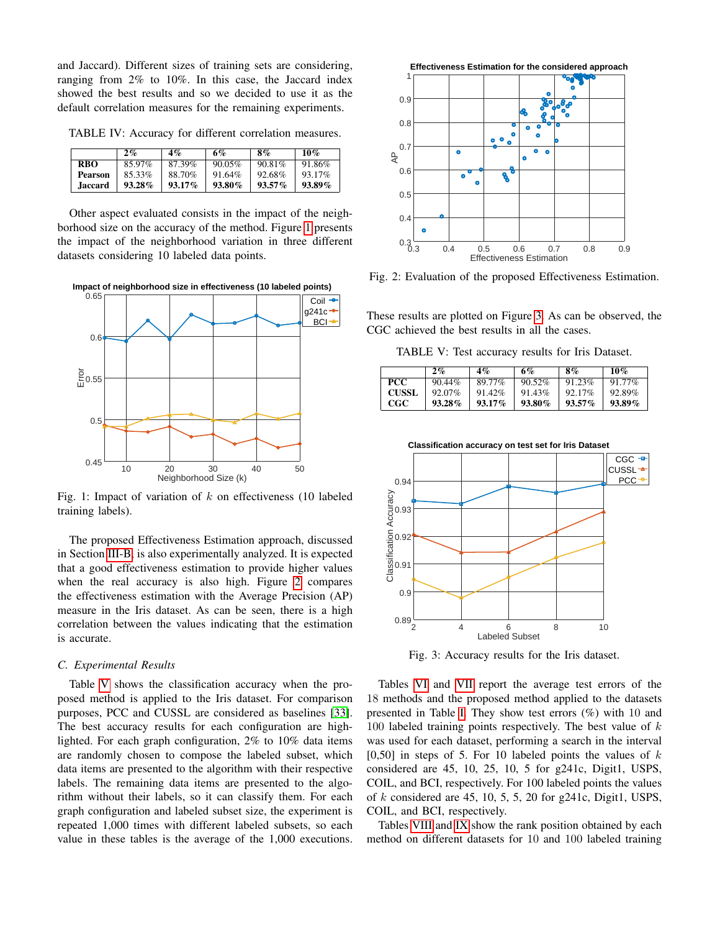and Jaccard). Different sizes of training sets are considering, ranging from 2% to 10%. In this case, the Jaccard index showed the best results and so we decided to use it as the default correlation measures for the remaining experiments.

<span id="page-4-1"></span>TABLE IV: Accuracy for different correlation measures.

|            | $2\%$     | 4%        | 6%     | 8%        | 10%    |
|------------|-----------|-----------|--------|-----------|--------|
| <b>RBO</b> | 85.97%    | 87.39%    | 90.05% | 90.81%    | 91.86% |
| Pearson    | 85.33%    | 88.70%    | 91.64% | 92.68%    | 93.17% |
| .Iaccard   | $93.28\%$ | $93.17\%$ | 93.80% | $93.57\%$ | 93.89% |

Other aspect evaluated consists in the impact of the neighborhood size on the accuracy of the method. Figure [1](#page-4-2) presents the impact of the neighborhood variation in three different datasets considering 10 labeled data points.

<span id="page-4-2"></span>**Impact of neighborhood size in effectiveness (10 labeled points)**



Fig. 1: Impact of variation of  $k$  on effectiveness (10 labeled training labels).

The proposed Effectiveness Estimation approach, discussed in Section [III-B,](#page-2-4) is also experimentally analyzed. It is expected that a good effectiveness estimation to provide higher values when the real accuracy is also high. Figure [2](#page-4-3) compares the effectiveness estimation with the Average Precision (AP) measure in the Iris dataset. As can be seen, there is a high correlation between the values indicating that the estimation is accurate.

## <span id="page-4-0"></span>*C. Experimental Results*

Table [V](#page-4-4) shows the classification accuracy when the proposed method is applied to the Iris dataset. For comparison purposes, PCC and CUSSL are considered as baselines [\[33\]](#page-6-32). The best accuracy results for each configuration are highlighted. For each graph configuration, 2% to 10% data items are randomly chosen to compose the labeled subset, which data items are presented to the algorithm with their respective labels. The remaining data items are presented to the algorithm without their labels, so it can classify them. For each graph configuration and labeled subset size, the experiment is repeated 1,000 times with different labeled subsets, so each value in these tables is the average of the 1,000 executions.

<span id="page-4-3"></span>

Fig. 2: Evaluation of the proposed Effectiveness Estimation.

<span id="page-4-4"></span>These results are plotted on Figure [3.](#page-4-5) As can be observed, the CGC achieved the best results in all the cases.

TABLE V: Test accuracy results for Iris Dataset.

|              | 2%        | 4%        | 6%        | 8%        | 10%       |
|--------------|-----------|-----------|-----------|-----------|-----------|
| PCC.         | $90.44\%$ | 89.77%    | $90.52\%$ | 91.23%    | $91.77\%$ |
| <b>CUSSL</b> | $92.07\%$ | 91.42%    | 91.43%    | $92.17\%$ | 92.89%    |
| CGC.         | 93.28%    | $93.17\%$ | 93.80%    | $93.57\%$ | $93.89\%$ |

<span id="page-4-5"></span>

Fig. 3: Accuracy results for the Iris dataset.

Tables [VI](#page-5-1) and [VII](#page-5-1) report the average test errors of the 18 methods and the proposed method applied to the datasets presented in Table [I.](#page-3-6) They show test errors (%) with 10 and 100 labeled training points respectively. The best value of  $k$ was used for each dataset, performing a search in the interval [0,50] in steps of 5. For 10 labeled points the values of  $k$ considered are 45, 10, 25, 10, 5 for g241c, Digit1, USPS, COIL, and BCI, respectively. For 100 labeled points the values of  $k$  considered are 45, 10, 5, 5, 20 for g241c, Digit1, USPS, COIL, and BCI, respectively.

Tables [VIII](#page-5-2) and [IX](#page-5-2) show the rank position obtained by each method on different datasets for 10 and 100 labeled training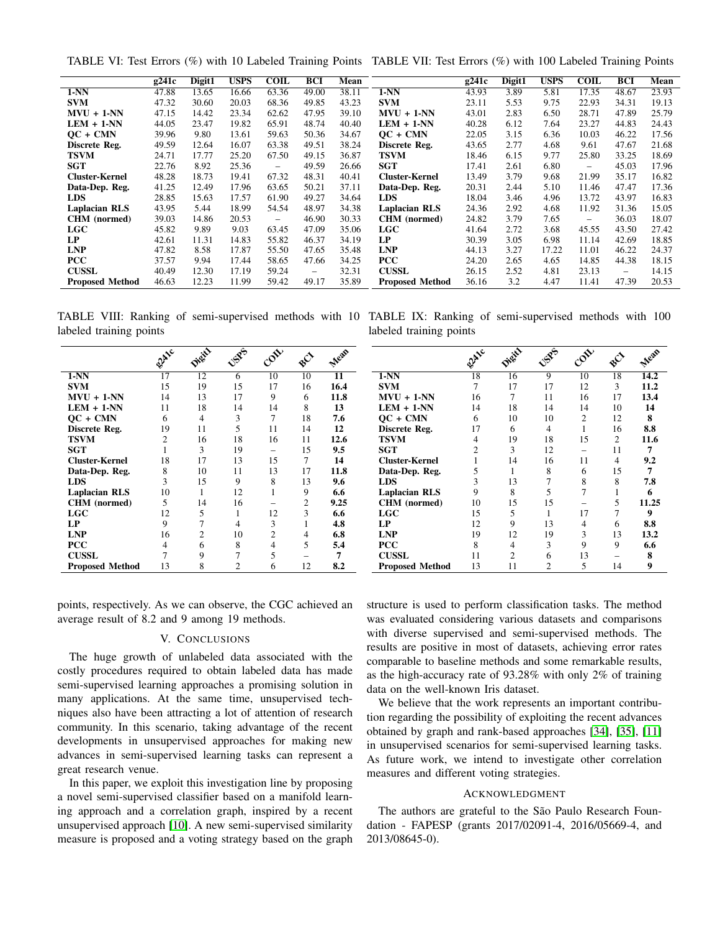<span id="page-5-1"></span>TABLE VI: Test Errors (%) with 10 Labeled Training Points TABLE VII: Test Errors (%) with 100 Labeled Training Points

|                        | g241c | Digit1 | <b>USPS</b> | <b>COIL</b>              | <b>BCI</b>               | Mean  |                        | g241c | Digit1 | <b>USPS</b> | <b>COIL</b>              | <b>BCI</b>        | Mean  |
|------------------------|-------|--------|-------------|--------------------------|--------------------------|-------|------------------------|-------|--------|-------------|--------------------------|-------------------|-------|
| $1-NN$                 | 47.88 | 13.65  | 16.66       | 63.36                    | 49.00                    | 38.11 | $1-NN$                 | 43.93 | 3.89   | 5.81        | 17.35                    | 48.67             | 23.93 |
| <b>SVM</b>             | 47.32 | 30.60  | 20.03       | 68.36                    | 49.85                    | 43.23 | <b>SVM</b>             | 23.11 | 5.53   | 9.75        | 22.93                    | 34.31             | 19.13 |
| $MVU + 1-NN$           | 47.15 | 14.42  | 23.34       | 62.62                    | 47.95                    | 39.10 | $MVU + 1-NN$           | 43.01 | 2.83   | 6.50        | 28.71                    | 47.89             | 25.79 |
| $LEM + 1-NN$           | 44.05 | 23.47  | 19.82       | 65.91                    | 48.74                    | 40.40 | $LEM + 1-NN$           | 40.28 | 6.12   | 7.64        | 23.27                    | 44.83             | 24.43 |
| $OC + CMN$             | 39.96 | 9.80   | 13.61       | 59.63                    | 50.36                    | 34.67 | $OC + CNN$             | 22.05 | 3.15   | 6.36        | 10.03                    | 46.22             | 17.56 |
| Discrete Reg.          | 49.59 | 12.64  | 16.07       | 63.38                    | 49.51                    | 38.24 | Discrete Reg.          | 43.65 | 2.77   | 4.68        | 9.61                     | 47.67             | 21.68 |
| <b>TSVM</b>            | 24.71 | 17.77  | 25.20       | 67.50                    | 49.15                    | 36.87 | TSVM                   | 18.46 | 6.15   | 9.77        | 25.80                    | 33.25             | 18.69 |
| <b>SGT</b>             | 22.76 | 8.92   | 25.36       | $\overline{\phantom{0}}$ | 49.59                    | 26.66 | <b>SGT</b>             | 17.41 | 2.61   | 6.80        | $\qquad \qquad -$        | 45.03             | 17.96 |
| <b>Cluster-Kernel</b>  | 48.28 | 18.73  | 19.41       | 67.32                    | 48.31                    | 40.41 | <b>Cluster-Kernel</b>  | 13.49 | 3.79   | 9.68        | 21.99                    | 35.17             | 16.82 |
| Data-Dep. Reg.         | 41.25 | 12.49  | 17.96       | 63.65                    | 50.21                    | 37.11 | Data-Dep. Reg.         | 20.31 | 2.44   | 5.10        | 11.46                    | 47.47             | 17.36 |
| <b>LDS</b>             | 28.85 | 15.63  | 17.57       | 61.90                    | 49.27                    | 34.64 | LDS                    | 18.04 | 3.46   | 4.96        | 13.72                    | 43.97             | 16.83 |
| <b>Laplacian RLS</b>   | 43.95 | 5.44   | 18.99       | 54.54                    | 48.97                    | 34.38 | <b>Laplacian RLS</b>   | 24.36 | 2.92   | 4.68        | 11.92                    | 31.36             | 15.05 |
| CHM (normed)           | 39.03 | 14.86  | 20.53       | $\overline{\phantom{0}}$ | 46.90                    | 30.33 | CHM (normed)           | 24.82 | 3.79   | 7.65        | $\overline{\phantom{0}}$ | 36.03             | 18.07 |
| LGC                    | 45.82 | 9.89   | 9.03        | 63.45                    | 47.09                    | 35.06 | LGC                    | 41.64 | 2.72   | 3.68        | 45.55                    | 43.50             | 27.42 |
| LP                     | 42.61 | 11.31  | 14.83       | 55.82                    | 46.37                    | 34.19 | LP                     | 30.39 | 3.05   | 6.98        | 11.14                    | 42.69             | 18.85 |
| <b>LNP</b>             | 47.82 | 8.58   | 17.87       | 55.50                    | 47.65                    | 35.48 | <b>LNP</b>             | 44.13 | 3.27   | 17.22       | 11.01                    | 46.22             | 24.37 |
| <b>PCC</b>             | 37.57 | 9.94   | 17.44       | 58.65                    | 47.66                    | 34.25 | <b>PCC</b>             | 24.20 | 2.65   | 4.65        | 14.85                    | 44.38             | 18.15 |
| <b>CUSSL</b>           | 40.49 | 12.30  | 17.19       | 59.24                    | $\overline{\phantom{m}}$ | 32.31 | <b>CUSSL</b>           | 26.15 | 2.52   | 4.81        | 23.13                    | $\qquad \qquad -$ | 14.15 |
| <b>Proposed Method</b> | 46.63 | 12.23  | 11.99       | 59.42                    | 49.17                    | 35.89 | <b>Proposed Method</b> | 36.16 | 3.2    | 4.47        | 11.41                    | 47.39             | 20.53 |

labeled training points

<span id="page-5-2"></span>TABLE VIII: Ranking of semi-supervised methods with 10 TABLE IX: Ranking of semi-supervised methods with 100 labeled training points

|                        | <b>Slate</b> | Digit?         | <b>NSPS</b>    | CORY                     | $\mathbf{e}^{\mathbf{O}}$ | Mean |                        | allic | Digity | <b>NSPFS</b> | COLL           | $\mathbf{e}^{\mathbf{O}}$ | Mean  |
|------------------------|--------------|----------------|----------------|--------------------------|---------------------------|------|------------------------|-------|--------|--------------|----------------|---------------------------|-------|
| $1-NN$                 | 17           | 12             | 6              | 10                       | 10                        | 11   | $1-NN$                 | 18    | 16     | 9            | 10             | 18                        | 14.2  |
| <b>SVM</b>             | 15           | 19             | 15             | 17                       | 16                        | 16.4 | <b>SVM</b>             |       | 17     | 17           | 12             | 3                         | 11.2  |
| $MVU + 1-NN$           | 14           | 13             | 17             | 9                        | 6                         | 11.8 | $MVU + 1-NN$           | 16    | 7      | 11           | 16             | 17                        | 13.4  |
| $LEM + 1-NN$           | 11           | 18             | 14             | 14                       | 8                         | 13   | $LEM + 1-NN$           | 14    | 18     | 14           | 14             | 10                        | 14    |
| $OC + CMN$             | 6            |                | 3              | 7                        | 18                        | 7.6  | $OC + CNN$             | 6     | 10     | 10           | $\mathfrak{D}$ | 12                        | 8     |
| Discrete Reg.          | 19           | 11             |                | 11                       | 14                        | 12   | Discrete Reg.          | 17    | 6      |              |                | 16                        | 8.8   |
| <b>TSVM</b>            |              | 16             | 18             | 16                       | 11                        | 12.6 | <b>TSVM</b>            |       | 19     | 18           | 15             | $\overline{c}$            | 11.6  |
| <b>SGT</b>             |              | 3              | 19             | $\overline{\phantom{0}}$ | 15                        | 9.5  | <b>SGT</b>             |       | 3      | 12           |                | 11                        |       |
| <b>Cluster-Kernel</b>  | 18           | 17             | 13             | 15                       | 7                         | 14   | <b>Cluster-Kernel</b>  |       | 14     | 16           | 11             | 4                         | 9.2   |
| Data-Dep. Reg.         | 8            | 10             | 11             | 13                       | 17                        | 11.8 | Data-Dep. Reg.         |       |        | 8            |                | 15                        |       |
| <b>LDS</b>             | 3            | 15             | 9              | 8                        | 13                        | 9.6  | <b>LDS</b>             |       | 13     |              |                |                           | 7.8   |
| <b>Laplacian RLS</b>   | 10           |                | 12             |                          | 9                         | 6.6  | <b>Laplacian RLS</b>   |       | 8      |              |                |                           | 6     |
| CHM (normed)           | 5            | 14             | 16             |                          | 2                         | 9.25 | CHM (normed)           | 10    | 15     | 15           |                |                           | 11.25 |
| LGC                    | 12           |                |                | 12                       | 3                         | 6.6  | LGC                    | 15    | 5      |              | 17             |                           | 9     |
| LP.                    |              |                |                | 3                        |                           | 4.8  | LP                     | 12    | 9      | 13           |                | 6                         | 8.8   |
| <b>LNP</b>             | 16           | $\overline{c}$ | 10             | $\overline{c}$           |                           | 6.8  | <b>LNP</b>             | 19    | 12     | 19           |                | 13                        | 13.2  |
| <b>PCC</b>             |              | h              | 8              |                          | 5                         | 5.4  | <b>PCC</b>             |       |        |              |                | 9                         | 6.6   |
| <b>CUSSL</b>           |              |                |                |                          |                           |      | <b>CUSSL</b>           | 11    |        |              | 13             |                           | 8     |
| <b>Proposed Method</b> | 13           | 8              | $\overline{c}$ | 6                        | 12                        | 8.2  | <b>Proposed Method</b> | 13    | 11     |              |                | 14                        | 9     |

points, respectively. As we can observe, the CGC achieved an average result of 8.2 and 9 among 19 methods.

# V. CONCLUSIONS

<span id="page-5-0"></span>The huge growth of unlabeled data associated with the costly procedures required to obtain labeled data has made semi-supervised learning approaches a promising solution in many applications. At the same time, unsupervised techniques also have been attracting a lot of attention of research community. In this scenario, taking advantage of the recent developments in unsupervised approaches for making new advances in semi-supervised learning tasks can represent a great research venue.

In this paper, we exploit this investigation line by proposing a novel semi-supervised classifier based on a manifold learning approach and a correlation graph, inspired by a recent unsupervised approach [\[10\]](#page-6-9). A new semi-supervised similarity measure is proposed and a voting strategy based on the graph

structure is used to perform classification tasks. The method was evaluated considering various datasets and comparisons with diverse supervised and semi-supervised methods. The results are positive in most of datasets, achieving error rates comparable to baseline methods and some remarkable results, as the high-accuracy rate of 93.28% with only 2% of training data on the well-known Iris dataset.

We believe that the work represents an important contribution regarding the possibility of exploiting the recent advances obtained by graph and rank-based approaches [\[34\]](#page-6-33), [\[35\]](#page-6-34), [\[11\]](#page-6-10) in unsupervised scenarios for semi-supervised learning tasks. As future work, we intend to investigate other correlation measures and different voting strategies.

## ACKNOWLEDGMENT

The authors are grateful to the São Paulo Research Foundation - FAPESP (grants 2017/02091-4, 2016/05669-4, and 2013/08645-0).